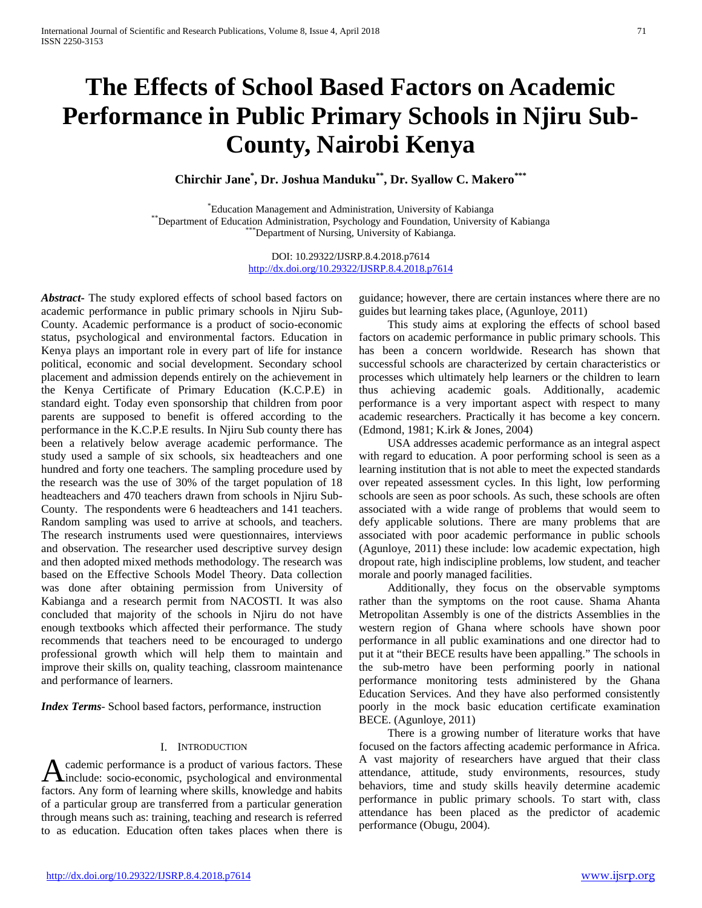# **The Effects of School Based Factors on Academic Performance in Public Primary Schools in Njiru Sub-County, Nairobi Kenya**

**Chirchir Jane\* , Dr. Joshua Manduku\*\*, Dr. Syallow C. Makero\*\*\***

\*Education Management and Administration, University of Kabianga \*\*Department of Education Administration, Psychology and Foundation, University of Kabianga \*\*\*\*Department of Nursing, University of Kabianga.

> DOI: 10.29322/IJSRP.8.4.2018.p7614 <http://dx.doi.org/10.29322/IJSRP.8.4.2018.p7614>

*Abstract***-** The study explored effects of school based factors on academic performance in public primary schools in Njiru Sub-County. Academic performance is a product of socio-economic status, psychological and environmental factors. Education in Kenya plays an important role in every part of life for instance political, economic and social development. Secondary school placement and admission depends entirely on the achievement in the Kenya Certificate of Primary Education (K.C.P.E) in standard eight. Today even sponsorship that children from poor parents are supposed to benefit is offered according to the performance in the K.C.P.E results. In Njiru Sub county there has been a relatively below average academic performance. The study used a sample of six schools, six headteachers and one hundred and forty one teachers. The sampling procedure used by the research was the use of 30% of the target population of 18 headteachers and 470 teachers drawn from schools in Njiru Sub-County. The respondents were 6 headteachers and 141 teachers. Random sampling was used to arrive at schools, and teachers. The research instruments used were questionnaires, interviews and observation. The researcher used descriptive survey design and then adopted mixed methods methodology. The research was based on the Effective Schools Model Theory. Data collection was done after obtaining permission from University of Kabianga and a research permit from NACOSTI. It was also concluded that majority of the schools in Njiru do not have enough textbooks which affected their performance. The study recommends that teachers need to be encouraged to undergo professional growth which will help them to maintain and improve their skills on, quality teaching, classroom maintenance and performance of learners.

*Index Terms*- School based factors, performance, instruction

# I. INTRODUCTION

cademic performance is a product of various factors. These A cademic performance is a product of various factors. These<br>include: socio-economic, psychological and environmental<br>factors of local distribution factors. Any form of learning where skills, knowledge and habits of a particular group are transferred from a particular generation through means such as: training, teaching and research is referred to as education. Education often takes places when there is

guidance; however, there are certain instances where there are no guides but learning takes place, (Agunloye, 2011)

 This study aims at exploring the effects of school based factors on academic performance in public primary schools. This has been a concern worldwide. Research has shown that successful schools are characterized by certain characteristics or processes which ultimately help learners or the children to learn thus achieving academic goals. Additionally, academic performance is a very important aspect with respect to many academic researchers. Practically it has become a key concern. (Edmond, 1981; K.irk & Jones, 2004)

 USA addresses academic performance as an integral aspect with regard to education. A poor performing school is seen as a learning institution that is not able to meet the expected standards over repeated assessment cycles. In this light, low performing schools are seen as poor schools. As such, these schools are often associated with a wide range of problems that would seem to defy applicable solutions. There are many problems that are associated with poor academic performance in public schools (Agunloye, 2011) these include: low academic expectation, high dropout rate, high indiscipline problems, low student, and teacher morale and poorly managed facilities.

 Additionally, they focus on the observable symptoms rather than the symptoms on the root cause. Shama Ahanta Metropolitan Assembly is one of the districts Assemblies in the western region of Ghana where schools have shown poor performance in all public examinations and one director had to put it at "their BECE results have been appalling." The schools in the sub-metro have been performing poorly in national performance monitoring tests administered by the Ghana Education Services. And they have also performed consistently poorly in the mock basic education certificate examination BECE. (Agunloye, 2011)

 There is a growing number of literature works that have focused on the factors affecting academic performance in Africa. A vast majority of researchers have argued that their class attendance, attitude, study environments, resources, study behaviors, time and study skills heavily determine academic performance in public primary schools. To start with, class attendance has been placed as the predictor of academic performance (Obugu, 2004).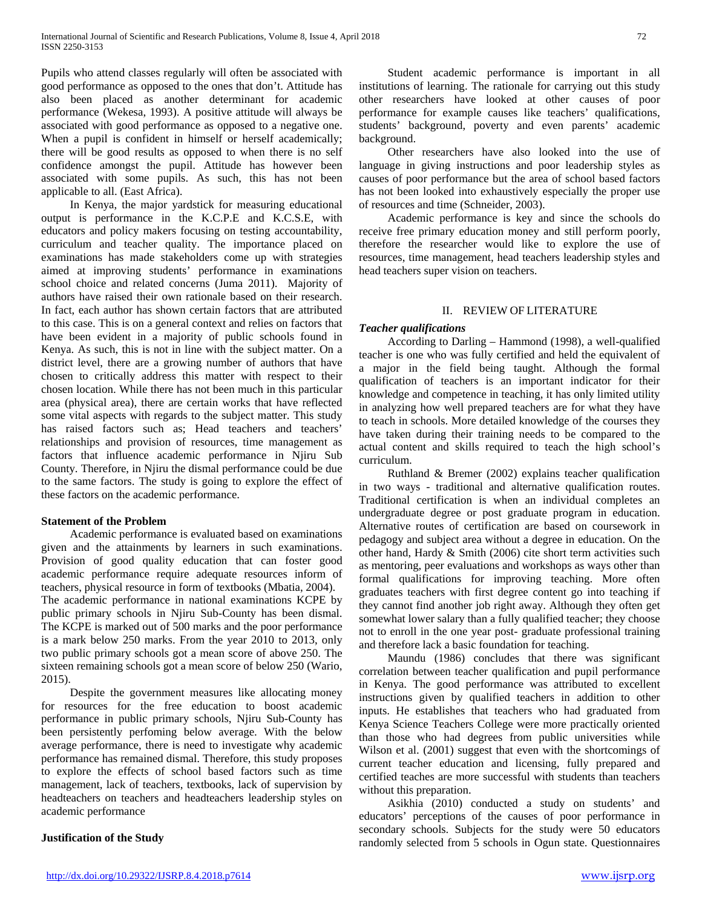Pupils who attend classes regularly will often be associated with good performance as opposed to the ones that don't. Attitude has also been placed as another determinant for academic performance (Wekesa, 1993). A positive attitude will always be associated with good performance as opposed to a negative one. When a pupil is confident in himself or herself academically; there will be good results as opposed to when there is no self confidence amongst the pupil. Attitude has however been associated with some pupils. As such, this has not been applicable to all. (East Africa).

 In Kenya, the major yardstick for measuring educational output is performance in the K.C.P.E and K.C.S.E, with educators and policy makers focusing on testing accountability, curriculum and teacher quality. The importance placed on examinations has made stakeholders come up with strategies aimed at improving students' performance in examinations school choice and related concerns (Juma 2011). Majority of authors have raised their own rationale based on their research. In fact, each author has shown certain factors that are attributed to this case. This is on a general context and relies on factors that have been evident in a majority of public schools found in Kenya. As such, this is not in line with the subject matter. On a district level, there are a growing number of authors that have chosen to critically address this matter with respect to their chosen location. While there has not been much in this particular area (physical area), there are certain works that have reflected some vital aspects with regards to the subject matter. This study has raised factors such as; Head teachers and teachers' relationships and provision of resources, time management as factors that influence academic performance in Njiru Sub County. Therefore, in Njiru the dismal performance could be due to the same factors. The study is going to explore the effect of these factors on the academic performance.

# **Statement of the Problem**

 Academic performance is evaluated based on examinations given and the attainments by learners in such examinations. Provision of good quality education that can foster good academic performance require adequate resources inform of teachers, physical resource in form of textbooks (Mbatia, 2004). The academic performance in national examinations KCPE by public primary schools in Njiru Sub-County has been dismal. The KCPE is marked out of 500 marks and the poor performance is a mark below 250 marks. From the year 2010 to 2013, only two public primary schools got a mean score of above 250. The sixteen remaining schools got a mean score of below 250 (Wario, 2015).

 Despite the government measures like allocating money for resources for the free education to boost academic performance in public primary schools, Njiru Sub-County has been persistently perfoming below average. With the below average performance, there is need to investigate why academic performance has remained dismal. Therefore, this study proposes to explore the effects of school based factors such as time management, lack of teachers, textbooks, lack of supervision by headteachers on teachers and headteachers leadership styles on academic performance

# **Justification of the Study**

 Student academic performance is important in all institutions of learning. The rationale for carrying out this study other researchers have looked at other causes of poor performance for example causes like teachers' qualifications, students' background, poverty and even parents' academic background.

 Other researchers have also looked into the use of language in giving instructions and poor leadership styles as causes of poor performance but the area of school based factors has not been looked into exhaustively especially the proper use of resources and time (Schneider, 2003).

 Academic performance is key and since the schools do receive free primary education money and still perform poorly, therefore the researcher would like to explore the use of resources, time management, head teachers leadership styles and head teachers super vision on teachers.

## II. REVIEW OF LITERATURE

## *Teacher qualifications*

 According to Darling – Hammond (1998), a well-qualified teacher is one who was fully certified and held the equivalent of a major in the field being taught. Although the formal qualification of teachers is an important indicator for their knowledge and competence in teaching, it has only limited utility in analyzing how well prepared teachers are for what they have to teach in schools. More detailed knowledge of the courses they have taken during their training needs to be compared to the actual content and skills required to teach the high school's curriculum.

 Ruthland & Bremer (2002) explains teacher qualification in two ways - traditional and alternative qualification routes. Traditional certification is when an individual completes an undergraduate degree or post graduate program in education. Alternative routes of certification are based on coursework in pedagogy and subject area without a degree in education. On the other hand, Hardy & Smith (2006) cite short term activities such as mentoring, peer evaluations and workshops as ways other than formal qualifications for improving teaching. More often graduates teachers with first degree content go into teaching if they cannot find another job right away. Although they often get somewhat lower salary than a fully qualified teacher; they choose not to enroll in the one year post- graduate professional training and therefore lack a basic foundation for teaching.

 Maundu (1986) concludes that there was significant correlation between teacher qualification and pupil performance in Kenya. The good performance was attributed to excellent instructions given by qualified teachers in addition to other inputs. He establishes that teachers who had graduated from Kenya Science Teachers College were more practically oriented than those who had degrees from public universities while Wilson et al. (2001) suggest that even with the shortcomings of current teacher education and licensing, fully prepared and certified teaches are more successful with students than teachers without this preparation.

 Asikhia (2010) conducted a study on students' and educators' perceptions of the causes of poor performance in secondary schools. Subjects for the study were 50 educators randomly selected from 5 schools in Ogun state. Questionnaires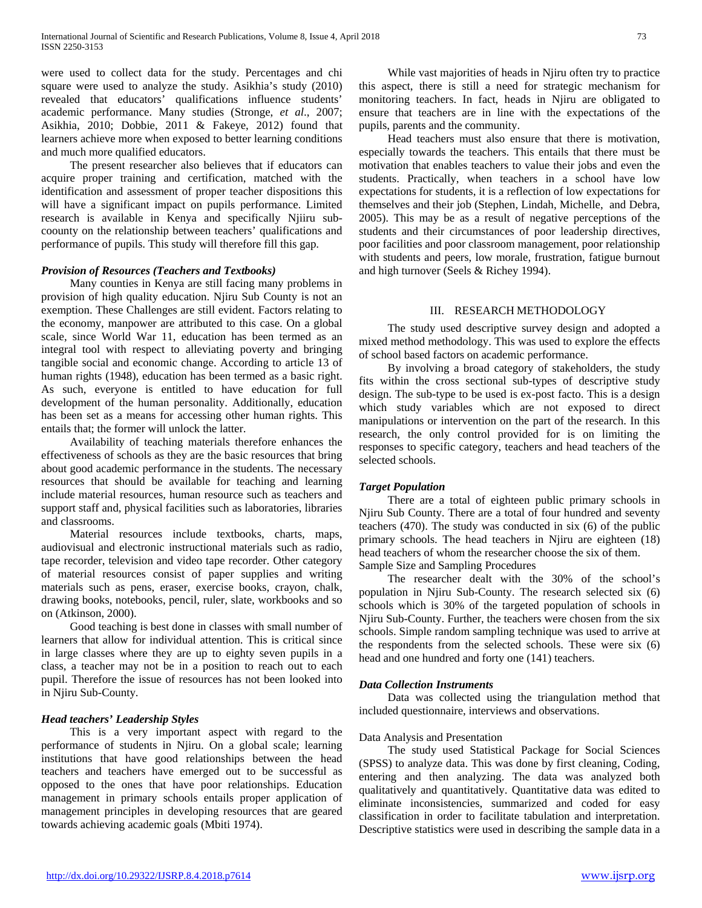were used to collect data for the study. Percentages and chi square were used to analyze the study. Asikhia's study (2010) revealed that educators' qualifications influence students' academic performance. Many studies (Stronge, *et al*., 2007; Asikhia, 2010; Dobbie, 2011 & Fakeye, 2012) found that learners achieve more when exposed to better learning conditions and much more qualified educators.

 The present researcher also believes that if educators can acquire proper training and certification, matched with the identification and assessment of proper teacher dispositions this will have a significant impact on pupils performance. Limited research is available in Kenya and specifically Njiiru subcoounty on the relationship between teachers' qualifications and performance of pupils. This study will therefore fill this gap.

# *Provision of Resources (Teachers and Textbooks)*

 Many counties in Kenya are still facing many problems in provision of high quality education. Njiru Sub County is not an exemption. These Challenges are still evident. Factors relating to the economy, manpower are attributed to this case. On a global scale, since World War 11, education has been termed as an integral tool with respect to alleviating poverty and bringing tangible social and economic change. According to article 13 of human rights (1948), education has been termed as a basic right. As such, everyone is entitled to have education for full development of the human personality. Additionally, education has been set as a means for accessing other human rights. This entails that; the former will unlock the latter.

 Availability of teaching materials therefore enhances the effectiveness of schools as they are the basic resources that bring about good academic performance in the students. The necessary resources that should be available for teaching and learning include material resources, human resource such as teachers and support staff and, physical facilities such as laboratories, libraries and classrooms.

 Material resources include textbooks, charts, maps, audiovisual and electronic instructional materials such as radio, tape recorder, television and video tape recorder. Other category of material resources consist of paper supplies and writing materials such as pens, eraser, exercise books, crayon, chalk, drawing books, notebooks, pencil, ruler, slate, workbooks and so on (Atkinson, 2000).

 Good teaching is best done in classes with small number of learners that allow for individual attention. This is critical since in large classes where they are up to eighty seven pupils in a class, a teacher may not be in a position to reach out to each pupil. Therefore the issue of resources has not been looked into in Njiru Sub-County.

# *Head teachers' Leadership Styles*

 This is a very important aspect with regard to the performance of students in Njiru. On a global scale; learning institutions that have good relationships between the head teachers and teachers have emerged out to be successful as opposed to the ones that have poor relationships. Education management in primary schools entails proper application of management principles in developing resources that are geared towards achieving academic goals (Mbiti 1974).

 While vast majorities of heads in Njiru often try to practice this aspect, there is still a need for strategic mechanism for monitoring teachers. In fact, heads in Njiru are obligated to ensure that teachers are in line with the expectations of the pupils, parents and the community.

 Head teachers must also ensure that there is motivation, especially towards the teachers. This entails that there must be motivation that enables teachers to value their jobs and even the students. Practically, when teachers in a school have low expectations for students, it is a reflection of low expectations for themselves and their job (Stephen, Lindah, Michelle, and Debra, 2005). This may be as a result of negative perceptions of the students and their circumstances of poor leadership directives, poor facilities and poor classroom management, poor relationship with students and peers, low morale, frustration, fatigue burnout and high turnover (Seels & Richey 1994).

# III. RESEARCH METHODOLOGY

 The study used descriptive survey design and adopted a mixed method methodology. This was used to explore the effects of school based factors on academic performance.

 By involving a broad category of stakeholders, the study fits within the cross sectional sub-types of descriptive study design. The sub-type to be used is ex-post facto. This is a design which study variables which are not exposed to direct manipulations or intervention on the part of the research. In this research, the only control provided for is on limiting the responses to specific category, teachers and head teachers of the selected schools.

# *Target Population*

 There are a total of eighteen public primary schools in Njiru Sub County. There are a total of four hundred and seventy teachers (470). The study was conducted in six (6) of the public primary schools. The head teachers in Njiru are eighteen (18) head teachers of whom the researcher choose the six of them. Sample Size and Sampling Procedures

 The researcher dealt with the 30% of the school's population in Njiru Sub-County. The research selected six (6) schools which is 30% of the targeted population of schools in Njiru Sub-County. Further, the teachers were chosen from the six schools. Simple random sampling technique was used to arrive at the respondents from the selected schools. These were six (6) head and one hundred and forty one (141) teachers.

# *Data Collection Instruments*

 Data was collected using the triangulation method that included questionnaire, interviews and observations.

# Data Analysis and Presentation

 The study used Statistical Package for Social Sciences (SPSS) to analyze data. This was done by first cleaning, Coding, entering and then analyzing. The data was analyzed both qualitatively and quantitatively. Quantitative data was edited to eliminate inconsistencies, summarized and coded for easy classification in order to facilitate tabulation and interpretation. Descriptive statistics were used in describing the sample data in a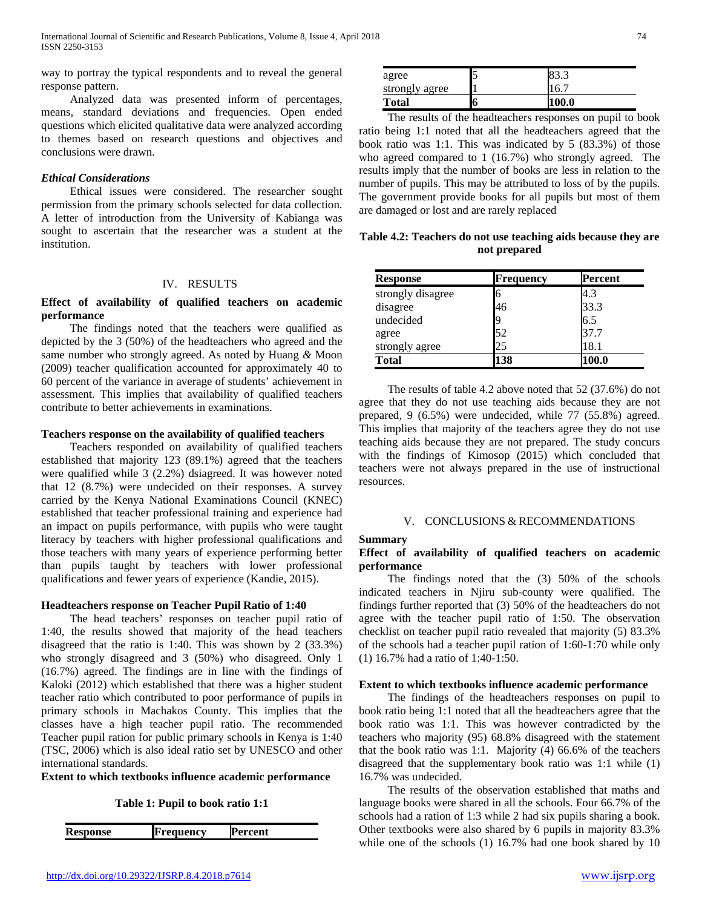way to portray the typical respondents and to reveal the general response pattern.

 Analyzed data was presented inform of percentages, means, standard deviations and frequencies. Open ended questions which elicited qualitative data were analyzed according to themes based on research questions and objectives and conclusions were drawn.

## *Ethical Considerations*

 Ethical issues were considered. The researcher sought permission from the primary schools selected for data collection. A letter of introduction from the University of Kabianga was sought to ascertain that the researcher was a student at the institution.

# IV. RESULTS

# **Effect of availability of qualified teachers on academic performance**

 The findings noted that the teachers were qualified as depicted by the 3 (50%) of the headteachers who agreed and the same number who strongly agreed. As noted by Huang *&* Moon (2009) teacher qualification accounted for approximately 40 to 60 percent of the variance in average of students' achievement in assessment. This implies that availability of qualified teachers contribute to better achievements in examinations.

## **Teachers response on the availability of qualified teachers**

 Teachers responded on availability of qualified teachers established that majority 123 (89.1%) agreed that the teachers were qualified while 3 (2.2%) dsiagreed. It was however noted that 12 (8.7%) were undecided on their responses. A survey carried by the Kenya National Examinations Council (KNEC) established that teacher professional training and experience had an impact on pupils performance, with pupils who were taught literacy by teachers with higher professional qualifications and those teachers with many years of experience performing better than pupils taught by teachers with lower professional qualifications and fewer years of experience (Kandie, 2015).

# **Headteachers response on Teacher Pupil Ratio of 1:40**

 The head teachers' responses on teacher pupil ratio of 1:40, the results showed that majority of the head teachers disagreed that the ratio is 1:40. This was shown by 2 (33.3%) who strongly disagreed and 3 (50%) who disagreed. Only 1 (16.7%) agreed. The findings are in line with the findings of Kaloki (2012) which established that there was a higher student teacher ratio which contributed to poor performance of pupils in primary schools in Machakos County. This implies that the classes have a high teacher pupil ratio. The recommended Teacher pupil ration for public primary schools in Kenya is 1:40 (TSC, 2006) which is also ideal ratio set by UNESCO and other international standards.

**Extent to which textbooks influence academic performance**

**Table 1: Pupil to book ratio 1:1**

| .esponse<br>$\mathbf{1}$ | <b>Annency</b> | rent. |
|--------------------------|----------------|-------|
|                          |                |       |

| agree          |   | 83.3  |
|----------------|---|-------|
| strongly agree |   | 16.7  |
| <b>Total</b>   | Ю | 100.0 |

 The results of the headteachers responses on pupil to book ratio being 1:1 noted that all the headteachers agreed that the book ratio was 1:1. This was indicated by 5 (83.3%) of those who agreed compared to 1 (16.7%) who strongly agreed. The results imply that the number of books are less in relation to the number of pupils. This may be attributed to loss of by the pupils. The government provide books for all pupils but most of them are damaged or lost and are rarely replaced

**Table 4.2: Teachers do not use teaching aids because they are not prepared**

| <b>Response</b>   | Frequency | Percent |
|-------------------|-----------|---------|
| strongly disagree |           | 4.3     |
| disagree          | 46        | 33.3    |
| undecided         |           | 6.5     |
| agree             | 52        | 37.7    |
| strongly agree    | 25        | 18.1    |
| <b>Total</b>      | 138       | 100.0   |

 The results of table 4.2 above noted that 52 (37.6%) do not agree that they do not use teaching aids because they are not prepared, 9 (6.5%) were undecided, while 77 (55.8%) agreed. This implies that majority of the teachers agree they do not use teaching aids because they are not prepared. The study concurs with the findings of Kimosop (2015) which concluded that teachers were not always prepared in the use of instructional resources.

# V. CONCLUSIONS & RECOMMENDATIONS

## **Summary**

# **Effect of availability of qualified teachers on academic performance**

 The findings noted that the (3) 50% of the schools indicated teachers in Njiru sub-county were qualified. The findings further reported that (3) 50% of the headteachers do not agree with the teacher pupil ratio of 1:50. The observation checklist on teacher pupil ratio revealed that majority (5) 83.3% of the schools had a teacher pupil ration of 1:60-1:70 while only (1) 16.7% had a ratio of 1:40-1:50.

#### **Extent to which textbooks influence academic performance**

 The findings of the headteachers responses on pupil to book ratio being 1:1 noted that all the headteachers agree that the book ratio was 1:1. This was however contradicted by the teachers who majority (95) 68.8% disagreed with the statement that the book ratio was 1:1. Majority (4) 66.6% of the teachers disagreed that the supplementary book ratio was 1:1 while (1) 16.7% was undecided.

 The results of the observation established that maths and language books were shared in all the schools. Four 66.7% of the schools had a ration of 1:3 while 2 had six pupils sharing a book. Other textbooks were also shared by 6 pupils in majority 83.3% while one of the schools (1) 16.7% had one book shared by 10